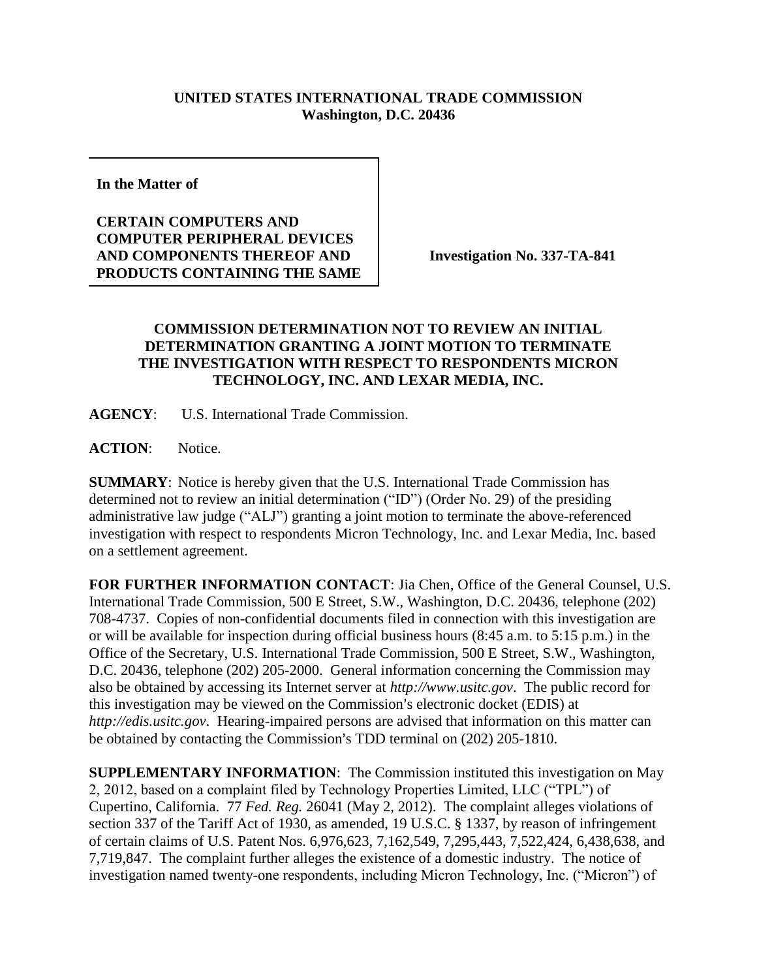## **UNITED STATES INTERNATIONAL TRADE COMMISSION Washington, D.C. 20436**

**In the Matter of** 

## **CERTAIN COMPUTERS AND COMPUTER PERIPHERAL DEVICES AND COMPONENTS THEREOF AND PRODUCTS CONTAINING THE SAME**

**Investigation No. 337-TA-841**

## **COMMISSION DETERMINATION NOT TO REVIEW AN INITIAL DETERMINATION GRANTING A JOINT MOTION TO TERMINATE THE INVESTIGATION WITH RESPECT TO RESPONDENTS MICRON TECHNOLOGY, INC. AND LEXAR MEDIA, INC.**

**AGENCY**: U.S. International Trade Commission.

**ACTION**: Notice.

**SUMMARY**: Notice is hereby given that the U.S. International Trade Commission has determined not to review an initial determination ("ID") (Order No. 29) of the presiding administrative law judge ("ALJ") granting a joint motion to terminate the above-referenced investigation with respect to respondents Micron Technology, Inc. and Lexar Media, Inc. based on a settlement agreement.

**FOR FURTHER INFORMATION CONTACT**: Jia Chen, Office of the General Counsel, U.S. International Trade Commission, 500 E Street, S.W., Washington, D.C. 20436, telephone (202) 708-4737. Copies of non-confidential documents filed in connection with this investigation are or will be available for inspection during official business hours (8:45 a.m. to 5:15 p.m.) in the Office of the Secretary, U.S. International Trade Commission, 500 E Street, S.W., Washington, D.C. 20436, telephone (202) 205-2000. General information concerning the Commission may also be obtained by accessing its Internet server at *http://www.usitc.gov*. The public record for this investigation may be viewed on the Commission's electronic docket (EDIS) at *http://edis.usitc.gov*. Hearing-impaired persons are advised that information on this matter can be obtained by contacting the Commission's TDD terminal on (202) 205-1810.

**SUPPLEMENTARY INFORMATION**: The Commission instituted this investigation on May 2, 2012, based on a complaint filed by Technology Properties Limited, LLC ("TPL") of Cupertino, California. 77 *Fed. Reg.* 26041 (May 2, 2012). The complaint alleges violations of section 337 of the Tariff Act of 1930, as amended, 19 U.S.C. § 1337, by reason of infringement of certain claims of U.S. Patent Nos. 6,976,623, 7,162,549, 7,295,443, 7,522,424, 6,438,638, and 7,719,847. The complaint further alleges the existence of a domestic industry. The notice of investigation named twenty-one respondents, including Micron Technology, Inc. ("Micron") of